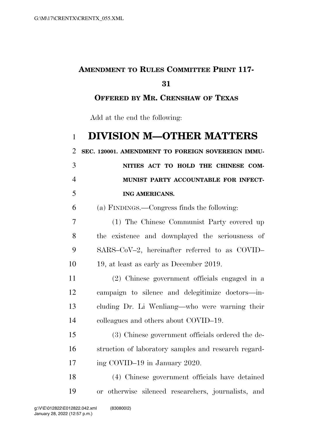## **AMENDMENT TO RULES COMMITTEE PRINT 117-**

## 

**OFFERED BY MR. CRENSHAW OF TEXAS**

Add at the end the following:

## **DIVISION M—OTHER MATTERS**

**SEC. 120001. AMENDMENT TO FOREIGN SOVEREIGN IMMU-**

|                          | NITIES ACT TO HOLD THE CHINESE COM-  |
|--------------------------|--------------------------------------|
| $\overline{4}$           | MUNIST PARTY ACCOUNTABLE FOR INFECT- |
| $\overline{\mathcal{L}}$ | ING AMERICANS.                       |

(a) FINDINGS.—Congress finds the following:

 (1) The Chinese Communist Party covered up the existence and downplayed the seriousness of SARS–CoV–2, hereinafter referred to as COVID– 19, at least as early as December 2019.

 (2) Chinese government officials engaged in a campaign to silence and delegitimize doctors—in- cluding Dr. Li Wenliang—who were warning their colleagues and others about COVID–19.

 (3) Chinese government officials ordered the de- struction of laboratory samples and research regard-17 ing COVID–19 in January 2020.

 (4) Chinese government officials have detained or otherwise silenced researchers, journalists, and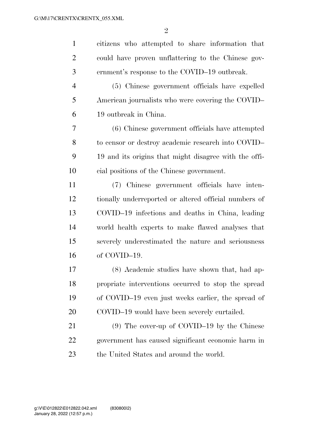$\mathfrak{D}$ 

 citizens who attempted to share information that could have proven unflattering to the Chinese gov-ernment's response to the COVID–19 outbreak.

 (5) Chinese government officials have expelled American journalists who were covering the COVID– 19 outbreak in China.

 (6) Chinese government officials have attempted to censor or destroy academic research into COVID– 19 and its origins that might disagree with the offi-cial positions of the Chinese government.

 (7) Chinese government officials have inten- tionally underreported or altered official numbers of COVID–19 infections and deaths in China, leading world health experts to make flawed analyses that severely underestimated the nature and seriousness of COVID–19.

 (8) Academic studies have shown that, had ap- propriate interventions occurred to stop the spread of COVID–19 even just weeks earlier, the spread of COVID–19 would have been severely curtailed.

 (9) The cover-up of COVID–19 by the Chinese government has caused significant economic harm in 23 the United States and around the world.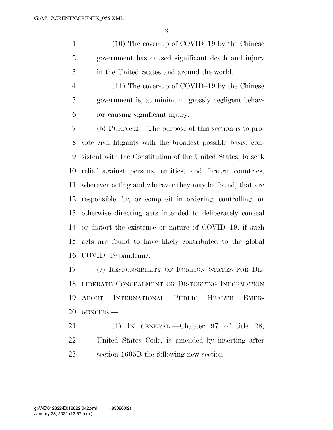(10) The cover-up of COVID–19 by the Chinese government has caused significant death and injury in the United States and around the world.

 (11) The cover-up of COVID–19 by the Chinese government is, at minimum, grossly negligent behav-ior causing significant injury.

 (b) PURPOSE.—The purpose of this section is to pro- vide civil litigants with the broadest possible basis, con- sistent with the Constitution of the United States, to seek relief against persons, entities, and foreign countries, wherever acting and wherever they may be found, that are responsible for, or complicit in ordering, controlling, or otherwise directing acts intended to deliberately conceal or distort the existence or nature of COVID–19, if such acts are found to have likely contributed to the global COVID–19 pandemic.

 (c) RESPONSIBILITY OF FOREIGN STATES FOR DE- LIBERATE CONCEALMENT OR DISTORTING INFORMATION ABOUT INTERNATIONAL PUBLIC HEALTH EMER-GENCIES.—

21 (1) IN GENERAL.—Chapter 97 of title 28, United States Code, is amended by inserting after section 1605B the following new section: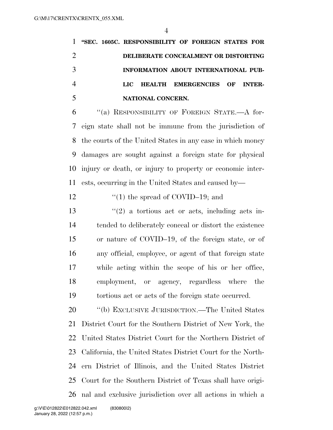**''SEC. 1605C. RESPONSIBILITY OF FOREIGN STATES FOR DELIBERATE CONCEALMENT OR DISTORTING INFORMATION ABOUT INTERNATIONAL PUB- LIC HEALTH EMERGENCIES OF INTER-NATIONAL CONCERN.** 

 ''(a) RESPONSIBILITY OF FOREIGN STATE.—A for- eign state shall not be immune from the jurisdiction of the courts of the United States in any case in which money damages are sought against a foreign state for physical injury or death, or injury to property or economic inter-ests, occurring in the United States and caused by—

12  $\frac{12}{10}$  the spread of COVID–19; and

 $\frac{1}{2}$  a tortious act or acts, including acts in- tended to deliberately conceal or distort the existence or nature of COVID–19, of the foreign state, or of any official, employee, or agent of that foreign state while acting within the scope of his or her office, employment, or agency, regardless where the tortious act or acts of the foreign state occurred.

 ''(b) EXCLUSIVE JURISDICTION.—The United States District Court for the Southern District of New York, the United States District Court for the Northern District of California, the United States District Court for the North- ern District of Illinois, and the United States District Court for the Southern District of Texas shall have origi-nal and exclusive jurisdiction over all actions in which a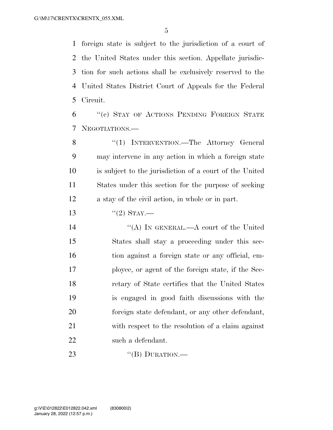foreign state is subject to the jurisdiction of a court of the United States under this section. Appellate jurisdic- tion for such actions shall be exclusively reserved to the United States District Court of Appeals for the Federal Circuit.

 ''(c) STAY OF ACTIONS PENDING FOREIGN STATE NEGOTIATIONS.—

8 "(1) INTERVENTION.—The Attorney General may intervene in any action in which a foreign state is subject to the jurisdiction of a court of the United States under this section for the purpose of seeking a stay of the civil action, in whole or in part.

13  $(2)$  STAY.—

14 "(A) IN GENERAL.—A court of the United States shall stay a proceeding under this sec-16 tion against a foreign state or any official, em- ployee, or agent of the foreign state, if the Sec- retary of State certifies that the United States is engaged in good faith discussions with the foreign state defendant, or any other defendant, with respect to the resolution of a claim against such a defendant.

23 "(B) DURATION.—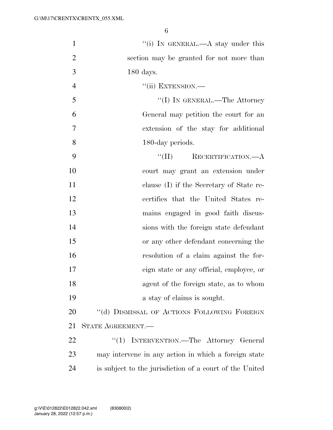| $\mathbf{1}$   | "(i) IN GENERAL.—A stay under this                      |
|----------------|---------------------------------------------------------|
| $\overline{2}$ | section may be granted for not more than                |
| 3              | $180$ days.                                             |
| $\overline{4}$ | $``$ (ii) EXTENSION.—                                   |
| 5              | "(I) IN GENERAL.—The Attorney                           |
| 6              | General may petition the court for an                   |
| $\overline{7}$ | extension of the stay for additional                    |
| 8              | 180-day periods.                                        |
| 9              | $\lq\lq (II)$<br>RECERTIFICATION.—A                     |
| 10             | court may grant an extension under                      |
| 11             | clause (I) if the Secretary of State re-                |
| 12             | certifies that the United States re-                    |
| 13             | mains engaged in good faith discus-                     |
| 14             | sions with the foreign state defendant                  |
| 15             | or any other defendant concerning the                   |
| 16             | resolution of a claim against the for-                  |
| 17             | eign state or any official, employee, or                |
| 18             | agent of the foreign state, as to whom                  |
| 19             | a stay of claims is sought.                             |
| 20             | "(d) DISMISSAL OF ACTIONS FOLLOWING FOREIGN             |
| 21             | STATE AGREEMENT.—                                       |
| 22             | "(1) INTERVENTION.—The Attorney General                 |
| 23             | may intervene in any action in which a foreign state    |
| 24             | is subject to the jurisdiction of a court of the United |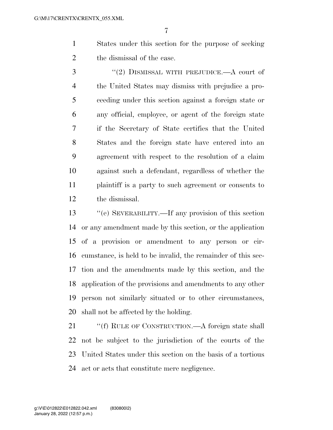States under this section for the purpose of seeking the dismissal of the case.

3 "(2) DISMISSAL WITH PREJUDICE.—A court of the United States may dismiss with prejudice a pro- ceeding under this section against a foreign state or any official, employee, or agent of the foreign state if the Secretary of State certifies that the United States and the foreign state have entered into an agreement with respect to the resolution of a claim against such a defendant, regardless of whether the plaintiff is a party to such agreement or consents to the dismissal.

 ''(e) SEVERABILITY.—If any provision of this section or any amendment made by this section, or the application of a provision or amendment to any person or cir- cumstance, is held to be invalid, the remainder of this sec- tion and the amendments made by this section, and the application of the provisions and amendments to any other person not similarly situated or to other circumstances, shall not be affected by the holding.

21 ""(f) RULE OF CONSTRUCTION.—A foreign state shall not be subject to the jurisdiction of the courts of the United States under this section on the basis of a tortious act or acts that constitute mere negligence.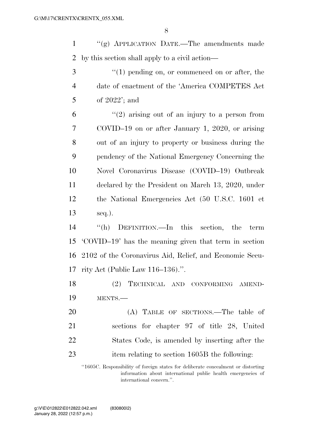''(g) APPLICATION DATE.—The amendments made by this section shall apply to a civil action—

3 "(1) pending on, or commenced on or after, the date of enactment of the 'America COMPETES Act of 2022'; and

 ''(2) arising out of an injury to a person from COVID–19 on or after January 1, 2020, or arising out of an injury to property or business during the pendency of the National Emergency Concerning the Novel Coronavirus Disease (COVID–19) Outbreak declared by the President on March 13, 2020, under the National Emergencies Act (50 U.S.C. 1601 et seq.).

 ''(h) DEFINITION.—In this section, the term 'COVID–19' has the meaning given that term in section 2102 of the Coronavirus Aid, Relief, and Economic Secu-rity Act (Public Law 116–136).''.

 (2) TECHNICAL AND CONFORMING AMEND-MENTS.—

20 (A) TABLE OF SECTIONS.—The table of sections for chapter 97 of title 28, United States Code, is amended by inserting after the 23 item relating to section 1605B the following:

''1605C. Responsibility of foreign states for deliberate concealment or distorting information about international public health emergencies of international concern.''.